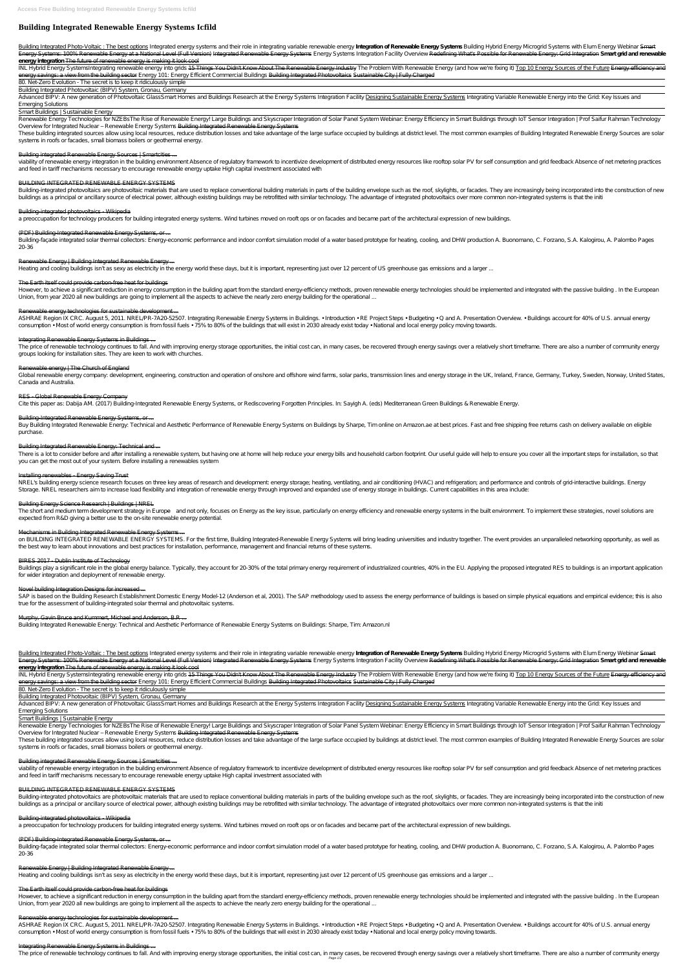# **Building Integrated Renewable Energy Systems Icfild**

Building Integrated Photo-Voltaic: The best options Integrated energy systems and their role in integrating variable renewable energy Integration of Renewable Energy Systems Building Hybrid Energy Microgrid Systems with El Energy Systems: 100% Renewable Energy at a National Level (Full Version) Integrated Renewable Energy Systems Energy Systems Integration Facility Overview Redefining What's Possible for Renewable Energy: Grid Integration Sm **energy integration** The future of renewable energy is making it look cool

INL Hybrid Energy Systems Integrating renewable energy into grids 15 Things You Didn't Know About The Renewable Energy Industry The Problem With Renewable Energy (and how we're fixing it) Top 10 Energy Sources of the Futur energy savings: a view from the building sector Energy 101: Energy Efficient Commercial Buildings Building Integrated Photovoltaics Sustainable City | Fully Charged

Advanced BIPV: A new generation of Photovoltaic Glass Smart Homes and Buildings Research at the Energy Systems Integration Facility Designing Sustainable Energy Systems Integrating Variable Renewable Energy into the Grid: Emerging Solutions

Renewable Energy Technologies for NZEBsThe Rise of Renewable Energy! Large Buildings and Skyscraper Integration of Solar Panel System Webinar: Energy Efficiency in Smart Buildings through IoT Sensor Integration | Prof Saif Overview for Integrated Nuclear – Renewable Energy Systems Building Integrated Renewable Energy Systems

These building integrated sources allow using local resources, reduce distribution losses and take advantage of the large surface occupied by buildings at district level. The most common examples of Building Integrated Ren systems in roofs or facades, small biomass boilers or geothermal energy.

80. Net-Zero Evolution - The secret is to keep it ridiculously simple

Building Integrated Photovoltaic (BIPV) System, Gronau, Germany

viability of renewable energy integration in the building environment Absence of regulatory framework to incentivize development of distributed energy resources like rooftop solar PV for self consumption and grid feedback and feed in tariff mechanisms necessary to encourage renewable energy uptake High capital investment associated with

### Smart Buildings | Sustainable Energy

Building-façade integrated solar thermal collectors: Energy-economic performance and indoor comfort simulation model of a water based prototype for heating, cooling, and DHW production A. Buonomano, C. Forzano, S.A. Kalogi 20-36

### Renewable Energy | Building Integrated Renewable Energy ...

Heating and cooling buildings isn't as sexy as electricity in the energy world these days, but it is important, representing just over 12 percent of US greenhouse gas emissions and a larger ...

However, to achieve a significant reduction in energy consumption in the building apart from the standard energy-efficiency methods, proven renewable energy technologies should be implemented and integrated with the passiv Union, from year 2020 all new buildings are going to implement all the aspects to achieve the nearly zero energy building for the operational ...

## Building integrated Renewable Energy Sources | Smartcities ...

### BUILDING INTEGRATED RENEWABLE ENERGY SYSTEMS

Building-integrated photovoltaics are photovoltaic materials that are used to replace conventional building materials in parts of the building envelope such as the roof, skylights, or facades. They are increasingly being i buildings as a principal or ancillary source of electrical power, although existing buildings may be retrofitted with similar technology. The advantage of integrated photovoltaics over more common non-integrated systems is

The price of renewable technology continues to fall. And with improving energy storage opportunities, the initial cost can, in many cases, be recovered through energy savings over a relatively short timeframe. There are al groups looking for installation sites. They are keen to work with churches.

#### Renewable energy | The Church of England

Global renewable energy company: development, engineering, construction and operation of onshore and offshore wind farms, solar parks, transmission lines and energy storage in the UK, Ireland, France, Germany, Turkey, Swed Canada and Australia.

Buy Building Integrated Renewable Energy: Technical and Aesthetic Performance of Renewable Energy Systems on Buildings by Sharpe. Tim online on Amazon.ae at best prices. Fast and free shipping free returns cash on delivery purchase.

## Building-integrated photovoltaics - Wikipedia

a preoccupation for technology producers for building integrated energy systems. Wind turbines moved on rooft ops or on facades and became part of the architectural expression of new buildings.

There is a lot to consider before and after installing a renewable system, but having one at home will help reduce your energy bills and household carbon footprint. Our useful quide will help to ensure you cover all the im you can get the most out of your system. Before installing a renewables system

## Installing renewables Energy Saving Trust

NREL's building energy science research focuses on three key areas of research and development energy storage; heating, ventilating, and air conditioning (HVAC) and refrigeration; and performance and controls of grid-inter Storage. NREL researchers aim to increase load flexibility and integration of renewable energy through improved and expanded use of energy storage in buildings. Current capabilities in this area include:

## (PDF) Building-Integrated Renewable Energy Systems, or ...

The short and medium term development strategy in Europe—and not only, focuses on Energy as the key issue, particularly on energy efficiency and renewable energy systems in the built environment. To implement these strateg expected from R&D giving a better use to the on-site renewable energy potential.

on BUILDING INTEGRATED RENEWABLE ENERGY SYSTEMS. For the first time, Building Integrated-Renewable Energy Systems will bring leading universities and industry together. The event provides an unparalleled networking opportu the best way to learn about innovations and best practices for installation, performance, management and financial returns of these systems.

## BIRES 2017 - Dublin Institute of Technology

Buildings play a significant role in the global energy balance. Typically, they account for 20-30% of the total primary energy requirement of industrialized countries, 40% in the EU. Applying the proposed integrated RES to for wider integration and deployment of renewable energy.

### The Earth itself could provide carbon-free heat for buildings

SAP is based on the Building Research Establishment Domestic Energy Model-12 (Anderson etal, 2001). The SAP methodology used to assess the energy performance of buildings is based on simple physical equations and empirical true for the assessment of building-integrated solar thermal and photovoltaic systems.

### Renewable energy technologies for sustainable development ...

ASHRAE Region IX CRC. August 5, 2011. NRELPR-7A20-52507. Integrating Renewable Energy Systems in Buildings. • Introduction • RE Project Steps • Budgeting • Q and A. Presentation Overview. • Buildings account for 40% of U.S consumption • Most of world energy consumption is from fossil fuels • 75% to 80% of the buildings that will exist in 2030 already exist today • National and local energy policy moving towards.

### Integrating Renewable Energy Systems in Buildings...

Building Integrated Photo-Voltaic: The best options Integrated energy systems and their role in integrating variable renewable energy Integration of Renewable Energy Systems Building Hybrid Energy Microgrid Systems with El Energy Systems: 100% Renewable Energy at a National Level (Full Version) Integrated Renewable Energy Systems Energy Systems Integration Facility Overview Redefining What's Possible for Renewable Energy: Grid Integration Sm **energy integration** The future of renewable energy is making it look cool

INL Hybrid Energy Systems Integrating renewable energy into grids 15 Things You Didn't Know About The Renewable Energy Industry The Problem With Renewable Energy (and how we're fixing it) Top 10 Energy Sources of the Futur energy savings: a view from the building sector Energy 101: Energy Efficient Commercial Buildings Building Integrated Photovoltaics Sustainable City | Fully Charged

80. Net-Zero Evolution - The secret is to keep it ridiculously simple

Advanced BIPV: A new generation of Photovoltaic GlassSmartHomes and Buildings Research at the Energy Systems Integration Facility Designing Sustainable Energy Systems Integrating Variable Renewable Energy into the Grid: Ke Emerging Solutions

These building integrated sources allow using local resources, reduce distribution losses and take advantage of the large surface occupied by buildings at district level. The most common examples of Building Integrated Ren systems in roofs or facades, small biomass boilers or geothermal energy.

## RES - Global Renewable Energy Company

viability of renewable energy integration in the building environment Absence of regulatory framework to incentivize development of distributed energy resources like rooftop solar PV for self consumption and grid feedback and feed in tariff mechanisms necessary to encourage renewable energy uptake High capital investment associated with

Cite this paper as: Dabija AM. (2017) Building-Integrated Renewable Energy Systems, or Rediscovering Forgotten Principles. In: Sayigh A. (eds) Mediterranean Green Buildings & Renewable Energy.

## Building-Integrated Renewable Energy Systems, or ...

## Building Integrated Renewable Energy: Technical and ...

Building-façade integrated solar thermal collectors: Energy-economic performance and indoor comfort simulation model of a water based prototype for heating, cooling, and DHW production A. Buonomano, C. Forzano, S.A. Kalogi 20-36

#### Renewable Energy | Building Integrated Renewable Energy ...

Heating and cooling buildings isn't as sexy as electricity in the energy world these days, but it is important, representing just over 12 percent of US greenhouse gas emissions and a larger ...

#### The Earth itself could provide carbon free heat for buildings

However, to achieve a significant reduction in energy consumption in the building apart from the standard energy-efficiency methods, proven renewable energy technologies should be implemented and integrated with the passiv Union, from year 2020 all new buildings are going to implement all the aspects to achieve the nearly zero energy building for the operational ...

The price of renewable technology continues to fall. And with improving energy storage opportunities, the initial cost can, in many cases, be recovered through energy savings over a relatively short timeframe. There are al Page 1/2

## Building Energy Science Research | Buildings | NREL

## Mechanisms in Building Integrated Renewable Energy Systems ...

## Novel building Integration Designs for increased ...

## Murphy, Gavin Bruce and Kummert, Michael and Anderson, B.R ...

Building Integrated Renewable Energy: Technical and Aesthetic Performance of Renewable Energy Systems on Buildings: Sharpe, Tim: Amazon.nl

Building Integrated Photovoltaic (BIPV) System, Gronau, Germany

Smart Buildings | Sustainable Energy

Renewable Energy Technologies for NZEBsThe Rise of Renewable Energy! Large Buildings and Skyscraper Integration of Solar Panel System Webinar: Energy Efficiency in Smart Buildings through IoT Sensor Integration | Prof Saif

### Overview for Integrated Nuclear – Renewable Energy Systems Building Integrated Renewable Energy Systems

#### Building integrated Renewable Energy Sources | Smartcities ...

## BUILDING INTEGRATED RENEWABLE ENERGY SYSTEMS

Building-integrated photovoltaics are photovoltaic materials that are used to replace conventional building materials in parts of the building envelope such as the roof, skylights, or facades. They are increasingly being i buildings as a principal or ancillary source of electrical power, although existing buildings may be retrofitted with similar technology. The advantage of integrated photovoltaics over more common non-integrated systems is

#### Building-integrated photovoltaics - Wikipedia

a preoccupation for technology producers for building integrated energy systems. Wind turbines moved on rooft ops or on facades and became part of the architectural expression of new buildings.

#### (PDF) Building-Integrated Renewable Energy Systems, or ...

#### Renewable energy technologies for sustainable development ...

ASHRAE Region IX CRC. August 5, 2011. NRELPR-7A20-52507. Integrating Renewable Energy Systems in Buildings. • Introduction • RE Project Steps • Budgeting • Q and A. Presentation Overview. • Buildings account for 40% of U.S consumption • Most of world energy consumption is from fossil fuels • 75% to 80% of the buildings that will exist in 2030 already exist today • National and local energy policy moving towards.

### Integrating Renewable Energy Systems in Buildings ...